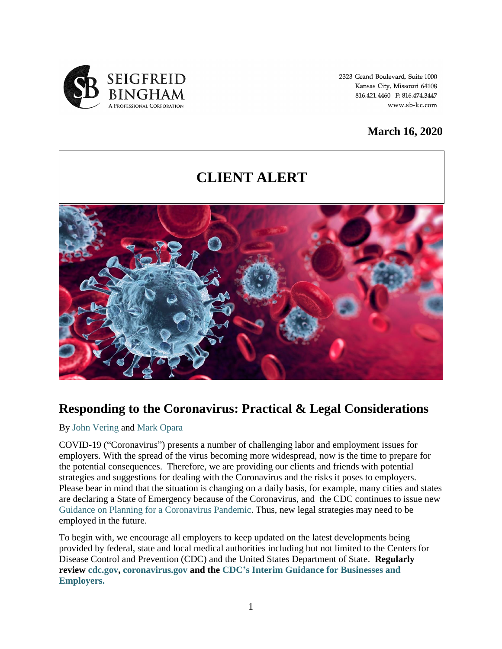

2323 Grand Boulevard, Suite 1000 Kansas City, Missouri 64108 816.421.4460 F: 816.474.3447 www.sb-kc.com

### **March 16, 2020**

# **CLIENT ALERT**



## **Responding to the Coronavirus: Practical & Legal Considerations**

#### By [John Vering](http://www.sb-kc.com/kansas-city-attorney/john-vering/) and [Mark Opara](http://www.sb-kc.com/kansas-city-attorney/mark-u-opara/)

COVID-19 ("Coronavirus") presents a number of challenging labor and employment issues for employers. With the spread of the virus becoming more widespread, now is the time to prepare for the potential consequences. Therefore, we are providing our clients and friends with potential strategies and suggestions for dealing with the Coronavirus and the risks it poses to employers. Please bear in mind that the situation is changing on a daily basis, for example, many cities and states are declaring a State of Emergency because of the Coronavirus, and the CDC continues to issue new [Guidance on Planning for a Coronavirus Pandemic.](https://www.cdc.gov/coronavirus/2019-ncov/php/pandemic-preparedness-resources.html) Thus, new legal strategies may need to be employed in the future.

To begin with, we encourage all employers to keep updated on the latest developments being provided by federal, state and local medical authorities including but not limited to the Centers for Disease Control and Prevention (CDC) and the United States Department of State. **Regularly review [cdc.gov,](https://www.cdc.gov/) [coronavirus.gov](http://coronavirus.gov/) and the [CDC's Interim Guidance for Businesses and](https://www.cdc.gov/coronavirus/2019-ncov/community/guidance-business-response.html)  [Employers.](https://www.cdc.gov/coronavirus/2019-ncov/community/guidance-business-response.html)**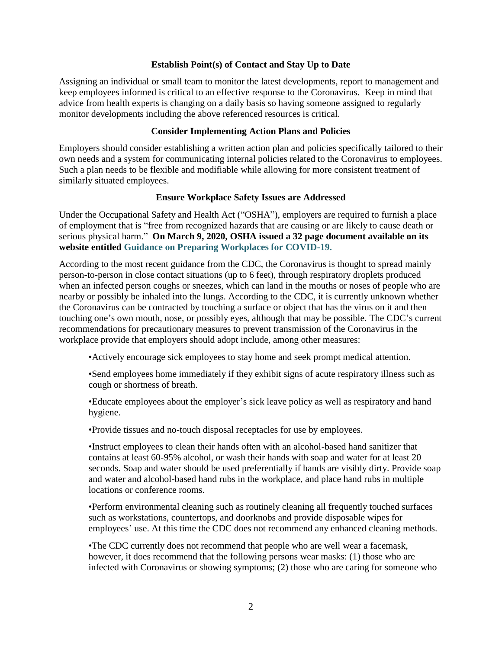#### **Establish Point(s) of Contact and Stay Up to Date**

Assigning an individual or small team to monitor the latest developments, report to management and keep employees informed is critical to an effective response to the Coronavirus. Keep in mind that advice from health experts is changing on a daily basis so having someone assigned to regularly monitor developments including the above referenced resources is critical.

#### **Consider Implementing Action Plans and Policies**

Employers should consider establishing a written action plan and policies specifically tailored to their own needs and a system for communicating internal policies related to the Coronavirus to employees. Such a plan needs to be flexible and modifiable while allowing for more consistent treatment of similarly situated employees.

#### **Ensure Workplace Safety Issues are Addressed**

Under the Occupational Safety and Health Act ("OSHA"), employers are required to furnish a place of employment that is "free from recognized hazards that are causing or are likely to cause death or serious physical harm." **On March 9, 2020, OSHA issued a 32 page document available on its website entitled [Guidance on Preparing Workplaces for COVID-19.](https://www.osha.gov/Publications/OSHA3990.pdf)**

According to the most recent guidance from the CDC, the Coronavirus is thought to spread mainly person-to-person in close contact situations (up to 6 feet), through respiratory droplets produced when an infected person coughs or sneezes, which can land in the mouths or noses of people who are nearby or possibly be inhaled into the lungs. According to the CDC, it is currently unknown whether the Coronavirus can be contracted by touching a surface or object that has the virus on it and then touching one's own mouth, nose, or possibly eyes, although that may be possible. The CDC's current recommendations for precautionary measures to prevent transmission of the Coronavirus in the workplace provide that employers should adopt include, among other measures:

•Actively encourage sick employees to stay home and seek prompt medical attention.

•Send employees home immediately if they exhibit signs of acute respiratory illness such as cough or shortness of breath.

•Educate employees about the employer's sick leave policy as well as respiratory and hand hygiene.

•Provide tissues and no-touch disposal receptacles for use by employees.

•Instruct employees to clean their hands often with an alcohol-based hand sanitizer that contains at least 60-95% alcohol, or wash their hands with soap and water for at least 20 seconds. Soap and water should be used preferentially if hands are visibly dirty. Provide soap and water and alcohol-based hand rubs in the workplace, and place hand rubs in multiple locations or conference rooms.

•Perform environmental cleaning such as routinely cleaning all frequently touched surfaces such as workstations, countertops, and doorknobs and provide disposable wipes for employees' use. At this time the CDC does not recommend any enhanced cleaning methods.

•The CDC currently does not recommend that people who are well wear a facemask, however, it does recommend that the following persons wear masks: (1) those who are infected with Coronavirus or showing symptoms; (2) those who are caring for someone who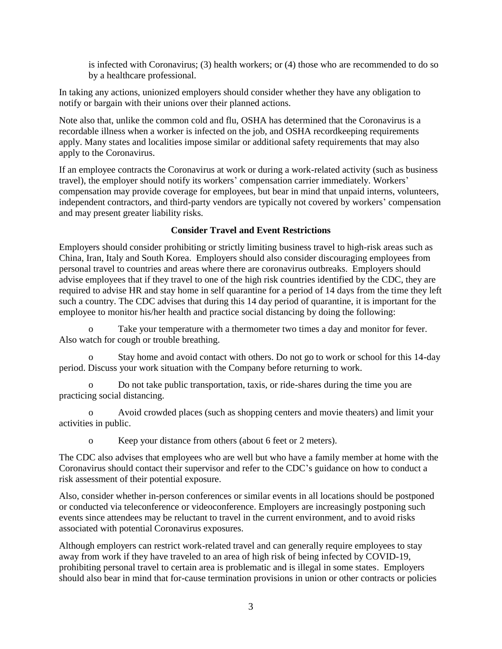is infected with Coronavirus; (3) health workers; or (4) those who are recommended to do so by a healthcare professional.

In taking any actions, unionized employers should consider whether they have any obligation to notify or bargain with their unions over their planned actions.

Note also that, unlike the common cold and flu, OSHA has determined that the Coronavirus is a recordable illness when a worker is infected on the job, and OSHA recordkeeping requirements apply. Many states and localities impose similar or additional safety requirements that may also apply to the Coronavirus.

If an employee contracts the Coronavirus at work or during a work-related activity (such as business travel), the employer should notify its workers' compensation carrier immediately. Workers' compensation may provide coverage for employees, but bear in mind that unpaid interns, volunteers, independent contractors, and third-party vendors are typically not covered by workers' compensation and may present greater liability risks.

#### **Consider Travel and Event Restrictions**

Employers should consider prohibiting or strictly limiting business travel to high-risk areas such as China, Iran, Italy and South Korea. Employers should also consider discouraging employees from personal travel to countries and areas where there are coronavirus outbreaks. Employers should advise employees that if they travel to one of the high risk countries identified by the CDC, they are required to advise HR and stay home in self quarantine for a period of 14 days from the time they left such a country. The CDC advises that during this 14 day period of quarantine, it is important for the employee to monitor his/her health and practice social distancing by doing the following:

o Take your temperature with a thermometer two times a day and monitor for fever. Also watch for cough or trouble breathing.

Stay home and avoid contact with others. Do not go to work or school for this 14-day period. Discuss your work situation with the Company before returning to work.

o Do not take public transportation, taxis, or ride-shares during the time you are practicing social distancing.

Avoid crowded places (such as shopping centers and movie theaters) and limit your activities in public.

o Keep your distance from others (about 6 feet or 2 meters).

The CDC also advises that employees who are well but who have a family member at home with the Coronavirus should contact their supervisor and refer to the CDC's guidance on how to conduct a risk assessment of their potential exposure.

Also, consider whether in-person conferences or similar events in all locations should be postponed or conducted via teleconference or videoconference. Employers are increasingly postponing such events since attendees may be reluctant to travel in the current environment, and to avoid risks associated with potential Coronavirus exposures.

Although employers can restrict work-related travel and can generally require employees to stay away from work if they have traveled to an area of high risk of being infected by COVID-19, prohibiting personal travel to certain area is problematic and is illegal in some states. Employers should also bear in mind that for-cause termination provisions in union or other contracts or policies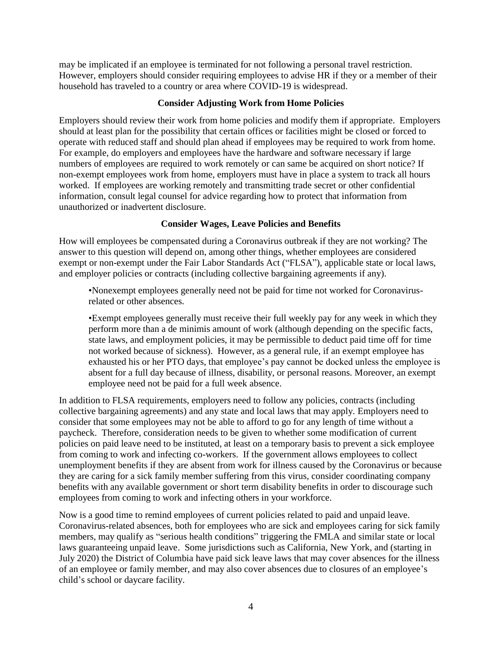may be implicated if an employee is terminated for not following a personal travel restriction. However, employers should consider requiring employees to advise HR if they or a member of their household has traveled to a country or area where COVID-19 is widespread.

#### **Consider Adjusting Work from Home Policies**

Employers should review their work from home policies and modify them if appropriate. Employers should at least plan for the possibility that certain offices or facilities might be closed or forced to operate with reduced staff and should plan ahead if employees may be required to work from home. For example, do employers and employees have the hardware and software necessary if large numbers of employees are required to work remotely or can same be acquired on short notice? If non-exempt employees work from home, employers must have in place a system to track all hours worked. If employees are working remotely and transmitting trade secret or other confidential information, consult legal counsel for advice regarding how to protect that information from unauthorized or inadvertent disclosure.

#### **Consider Wages, Leave Policies and Benefits**

How will employees be compensated during a Coronavirus outbreak if they are not working? The answer to this question will depend on, among other things, whether employees are considered exempt or non-exempt under the Fair Labor Standards Act ("FLSA"), applicable state or local laws, and employer policies or contracts (including collective bargaining agreements if any).

•Nonexempt employees generally need not be paid for time not worked for Coronavirusrelated or other absences.

•Exempt employees generally must receive their full weekly pay for any week in which they perform more than a de minimis amount of work (although depending on the specific facts, state laws, and employment policies, it may be permissible to deduct paid time off for time not worked because of sickness). However, as a general rule, if an exempt employee has exhausted his or her PTO days, that employee's pay cannot be docked unless the employee is absent for a full day because of illness, disability, or personal reasons. Moreover, an exempt employee need not be paid for a full week absence.

In addition to FLSA requirements, employers need to follow any policies, contracts (including collective bargaining agreements) and any state and local laws that may apply. Employers need to consider that some employees may not be able to afford to go for any length of time without a paycheck. Therefore, consideration needs to be given to whether some modification of current policies on paid leave need to be instituted, at least on a temporary basis to prevent a sick employee from coming to work and infecting co-workers. If the government allows employees to collect unemployment benefits if they are absent from work for illness caused by the Coronavirus or because they are caring for a sick family member suffering from this virus, consider coordinating company benefits with any available government or short term disability benefits in order to discourage such employees from coming to work and infecting others in your workforce.

Now is a good time to remind employees of current policies related to paid and unpaid leave. Coronavirus-related absences, both for employees who are sick and employees caring for sick family members, may qualify as "serious health conditions" triggering the FMLA and similar state or local laws guaranteeing unpaid leave. Some jurisdictions such as California, New York, and (starting in July 2020) the District of Columbia have paid sick leave laws that may cover absences for the illness of an employee or family member, and may also cover absences due to closures of an employee's child's school or daycare facility.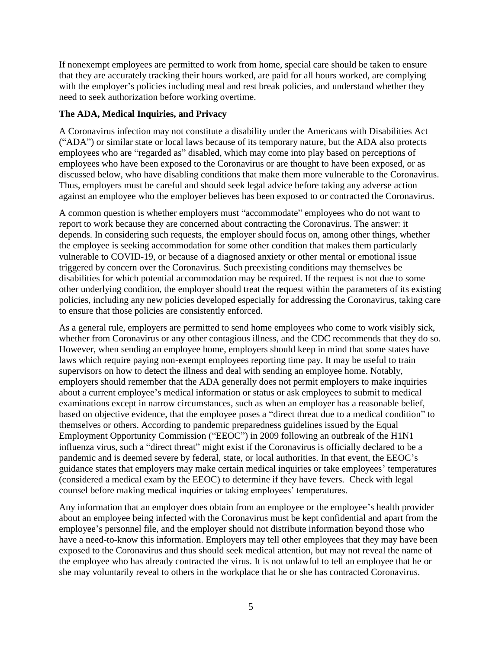If nonexempt employees are permitted to work from home, special care should be taken to ensure that they are accurately tracking their hours worked, are paid for all hours worked, are complying with the employer's policies including meal and rest break policies, and understand whether they need to seek authorization before working overtime.

#### **The ADA, Medical Inquiries, and Privacy**

A Coronavirus infection may not constitute a disability under the Americans with Disabilities Act ("ADA") or similar state or local laws because of its temporary nature, but the ADA also protects employees who are "regarded as" disabled, which may come into play based on perceptions of employees who have been exposed to the Coronavirus or are thought to have been exposed, or as discussed below, who have disabling conditions that make them more vulnerable to the Coronavirus. Thus, employers must be careful and should seek legal advice before taking any adverse action against an employee who the employer believes has been exposed to or contracted the Coronavirus.

A common question is whether employers must "accommodate" employees who do not want to report to work because they are concerned about contracting the Coronavirus. The answer: it depends. In considering such requests, the employer should focus on, among other things, whether the employee is seeking accommodation for some other condition that makes them particularly vulnerable to COVID-19, or because of a diagnosed anxiety or other mental or emotional issue triggered by concern over the Coronavirus. Such preexisting conditions may themselves be disabilities for which potential accommodation may be required. If the request is not due to some other underlying condition, the employer should treat the request within the parameters of its existing policies, including any new policies developed especially for addressing the Coronavirus, taking care to ensure that those policies are consistently enforced.

As a general rule, employers are permitted to send home employees who come to work visibly sick, whether from Coronavirus or any other contagious illness, and the CDC recommends that they do so. However, when sending an employee home, employers should keep in mind that some states have laws which require paying non-exempt employees reporting time pay. It may be useful to train supervisors on how to detect the illness and deal with sending an employee home. Notably, employers should remember that the ADA generally does not permit employers to make inquiries about a current employee's medical information or status or ask employees to submit to medical examinations except in narrow circumstances, such as when an employer has a reasonable belief, based on objective evidence, that the employee poses a "direct threat due to a medical condition" to themselves or others. According to pandemic preparedness guidelines issued by the Equal Employment Opportunity Commission ("EEOC") in 2009 following an outbreak of the H1N1 influenza virus, such a "direct threat" might exist if the Coronavirus is officially declared to be a pandemic and is deemed severe by federal, state, or local authorities. In that event, the EEOC's guidance states that employers may make certain medical inquiries or take employees' temperatures (considered a medical exam by the EEOC) to determine if they have fevers. Check with legal counsel before making medical inquiries or taking employees' temperatures.

Any information that an employer does obtain from an employee or the employee's health provider about an employee being infected with the Coronavirus must be kept confidential and apart from the employee's personnel file, and the employer should not distribute information beyond those who have a need-to-know this information. Employers may tell other employees that they may have been exposed to the Coronavirus and thus should seek medical attention, but may not reveal the name of the employee who has already contracted the virus. It is not unlawful to tell an employee that he or she may voluntarily reveal to others in the workplace that he or she has contracted Coronavirus.